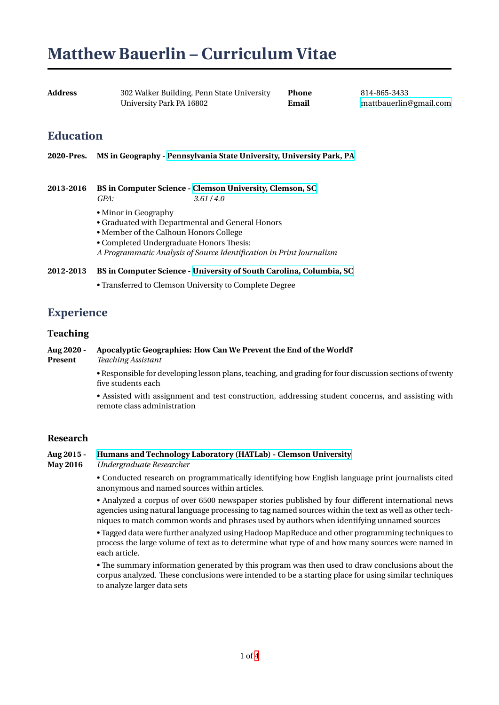# **Matthew Bauerlin – Curriculum Vitae**

| Address | 302 Walker Building, Penn State University | <b>Phone</b> | 814-865-3433           |
|---------|--------------------------------------------|--------------|------------------------|
|         | University Park PA 16802                   | Email        | mattbauerlin@gmail.com |

### **Education**

**2020-Pres. MS in Geography - Pennsylvania State University, University Park, PA**

**2013-2016 BS in Computer Science - Clemson University, Clemson, SC** *GPA: [3.61 / 4.0](https://www.geog.psu.edu/)*

- Minor in Geography
- Graduated with Departmental and General Honors
- Member of the Calhoun [Honors College](https://www.clemson.edu/cecas/departments/computing/)
- Completed Undergraduate Honors Thesis:

*A Programmatic Analysis of Source Identification in Print Journalism*

#### **2012-2013 BS in Computer Science - University of South Carolina, Columbia, SC**

• Transferred to Clemson University to Complete Degree

### **Experience**

### **Teaching**

### **Aug 2020 - Apocalyptic Geographies: How Can We Prevent the End of the World?**

**Present** *Teaching Assistant*

• Responsible for developing lesson plans, teaching, and grading for four discussion sections of twenty five students each

• Assisted with assignment and test construction, addressing student concerns, and assisting with remote class administration

### **Research**

### **Aug 2015 - Humans and Technology Laboratory (HATLab) - Clemson University**

**May 2016** *Undergraduate Researcher*

• Conducted research on programmatically identifying how English language print journalists cited anonymous and named sources within articles.

[• Analyzed a corpus of over 6500 newspaper stories published by four](http://www.hatlab.org/) different international news agencies using natural language processing to tag named sources within the text as well as other techniques to match common words and phrases used by authors when identifying unnamed sources

• Tagged data were further analyzed using Hadoop MapReduce and other programming techniques to process the large volume of text as to determine what type of and how many sources were named in each article.

• The summary information generated by this program was then used to draw conclusions about the corpus analyzed. These conclusions were intended to be a starting place for using similar techniques to analyze larger data sets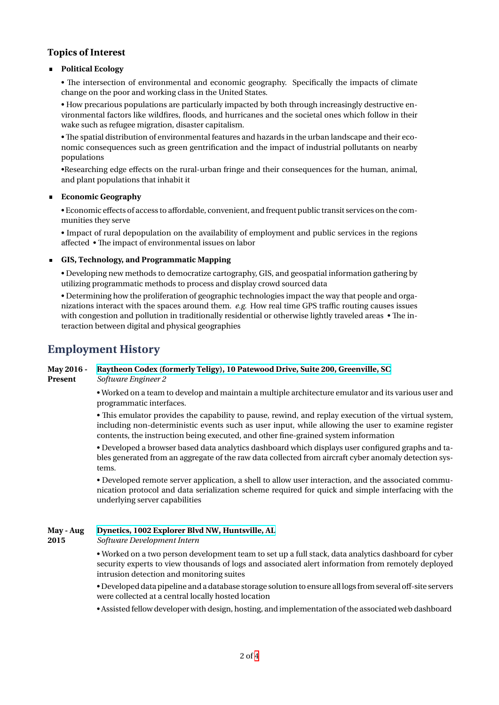### **Topics of Interest**

### **Political Ecology**

• The intersection of environmental and economic geography. Specifically the impacts of climate change on the poor and working class in the United States.

• How precarious populations are particularly impacted by both through increasingly destructive environmental factors like wildfires, floods, and hurricanes and the societal ones which follow in their wake such as refugee migration, disaster capitalism.

• The spatial distribution of environmental features and hazards in the urban landscape and their economic consequences such as green gentrification and the impact of industrial pollutants on nearby populations

•Researching edge effects on the rural-urban fringe and their consequences for the human, animal, and plant populations that inhabit it

### **Economic Geography**

• Economic effects of access to affordable, convenient, and frequent public transit services on the communities they serve

• Impact of rural depopulation on the availability of employment and public services in the regions affected • The impact of environmental issues on labor

### **GIS, Technology, and Programmatic Mapping**

• Developing new methods to democratize cartography, GIS, and geospatial information gathering by utilizing programmatic methods to process and display crowd sourced data

• Determining how the proliferation of geographic technologies impact the way that people and organizations interact with the spaces around them. *e.g.* How real time GPS traffic routing causes issues with congestion and pollution in traditionally residential or otherwise lightly traveled areas • The interaction between digital and physical geographies

### **Employment History**

# **May 2016 - Raytheon Codex (formerly Teligy), 10 Patewood Drive, Suite 200, Greenville, SC**

**Present** *Software Engineer 2*

• Worked on a team to develop and maintain a multiple architecture emulator and its various user and programmatic interfaces.

[• This emulator provides the capability to pause, rewind, and replay execution of th](https://www.raytheon.com/cyber/codex)e virtual system, including non-deterministic events such as user input, while allowing the user to examine register contents, the instruction being executed, and other fine-grained system information

• Developed a browser based data analytics dashboard which displays user configured graphs and tables generated from an aggregate of the raw data collected from aircraft cyber anomaly detection systems.

• Developed remote server application, a shell to allow user interaction, and the associated communication protocol and data serialization scheme required for quick and simple interfacing with the underlying server capabilities

### **May - Aug Dynetics, 1002 Explorer Blvd NW, Huntsville, AL**

**2015** *Software Development Intern*

• Worked on a two person development team to set up a full stack, data analytics dashboard for cyber security experts to view thousands of logs and associated alert information from remotely deployed [intrusion detection and monitoring suites](https://www.dynetics.com/)

• Developed data pipeline and a database storage solution to ensure all logsfrom several off-site servers were collected at a central locally hosted location

• Assisted fellow developer with design, hosting, and implementation of the associated web dashboard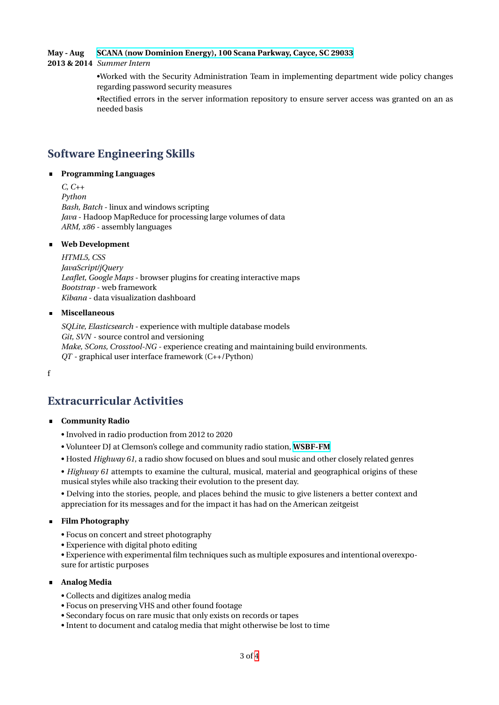### **May - Aug SCANA (now Dominion Energy), 100 Scana Parkway, Cayce, SC 29033**

**2013 & 2014** *Summer Intern*

•Worked with the Security Administration Team in implementing department wide policy changes regarding password security measures

[•Rectified errors in the server information repository to ensure server a](https://www.dynetics.com/)ccess was granted on an as needed basis

# **Software Engineering Skills**

### **Programming Languages**

*C, C++ Python Bash, Batch* - linux and windows scripting *Java* - Hadoop MapReduce for processing large volumes of data *ARM, x86* - assembly languages

### **Web Development**

*HTML5, CSS JavaScript/jQuery Leaflet, Google Maps* - browser plugins for creating interactive maps *Bootstrap* - web framework *Kibana* - data visualization dashboard

### **Miscellaneous**

*SQLite, Elasticsearch* - experience with multiple database models *Git, SVN* - source control and versioning *Make, SCons, Crosstool-NG* - experience creating and maintaining build environments. *QT* - graphical user interface framework (C++/Python)

f

### **Extracurricular Activities**

- **Community Radio**
	- Involved in radio production from 2012 to 2020
	- Volunteer DJ at Clemson's college and community radio station, **WSBF-FM**
	- Hosted *Highway 61*, a radio show focused on blues and soul music and other closely related genres

• *Highway 61* attempts to examine the cultural, musical, material and geographical origins of these musical styles while also tracking their evolution to the present day.

• Delving into the stories, people, and places behind the music t[o give listen](https://wsbf.net/)ers a better context and appreciation for its messages and for the impact it has had on the American zeitgeist

### **Film Photography**

- Focus on concert and street photography
- Experience with digital photo editing

• Experience with experimental film techniques such as multiple exposures and intentional overexposure for artistic purposes

### **Analog Media**

- Collects and digitizes analog media
- Focus on preserving VHS and other found footage
- Secondary focus on rare music that only exists on records or tapes
- Intent to document and catalog media that might otherwise be lost to time